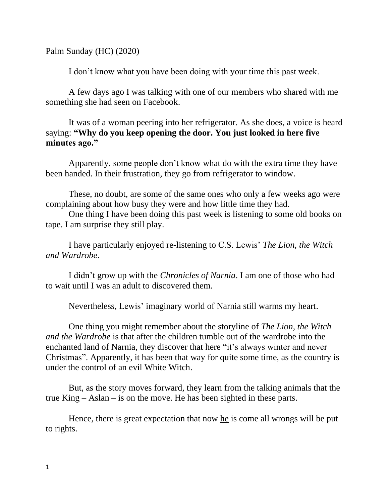Palm Sunday (HC) (2020)

I don't know what you have been doing with your time this past week.

A few days ago I was talking with one of our members who shared with me something she had seen on Facebook.

It was of a woman peering into her refrigerator. As she does, a voice is heard saying: **"Why do you keep opening the door. You just looked in here five minutes ago."**

Apparently, some people don't know what do with the extra time they have been handed. In their frustration, they go from refrigerator to window.

These, no doubt, are some of the same ones who only a few weeks ago were complaining about how busy they were and how little time they had.

One thing I have been doing this past week is listening to some old books on tape. I am surprise they still play.

I have particularly enjoyed re-listening to C.S. Lewis' *The Lion, the Witch and Wardrobe*.

I didn't grow up with the *Chronicles of Narnia*. I am one of those who had to wait until I was an adult to discovered them.

Nevertheless, Lewis' imaginary world of Narnia still warms my heart.

One thing you might remember about the storyline of *The Lion, the Witch and the Wardrobe* is that after the children tumble out of the wardrobe into the enchanted land of Narnia, they discover that here "it's always winter and never Christmas". Apparently, it has been that way for quite some time, as the country is under the control of an evil White Witch.

But, as the story moves forward, they learn from the talking animals that the true King – Aslan – is on the move. He has been sighted in these parts.

Hence, there is great expectation that now he is come all wrongs will be put to rights.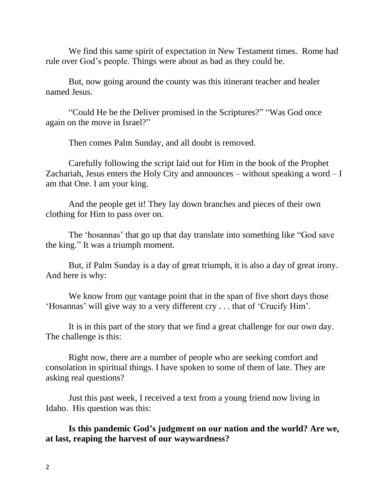We find this same spirit of expectation in New Testament times. Rome had rule over God's people. Things were about as bad as they could be.

But, now going around the county was this itinerant teacher and healer named Jesus.

"Could He be the Deliver promised in the Scriptures?" "Was God once again on the move in Israel?"

Then comes Palm Sunday, and all doubt is removed.

Carefully following the script laid out for Him in the book of the Prophet Zachariah, Jesus enters the Holy City and announces – without speaking a word  $-I$ am that One. I am your king.

And the people get it! They lay down branches and pieces of their own clothing for Him to pass over on.

The 'hosannas' that go up that day translate into something like "God save the king." It was a triumph moment.

But, if Palm Sunday is a day of great triumph, it is also a day of great irony. And here is why:

We know from our vantage point that in the span of five short days those 'Hosannas' will give way to a very different cry . . . that of 'Crucify Him'.

It is in this part of the story that we find a great challenge for our own day. The challenge is this:

Right now, there are a number of people who are seeking comfort and consolation in spiritual things. I have spoken to some of them of late. They are asking real questions?

Just this past week, I received a text from a young friend now living in Idaho. His question was this:

**Is this pandemic God's judgment on our nation and the world? Are we, at last, reaping the harvest of our waywardness?**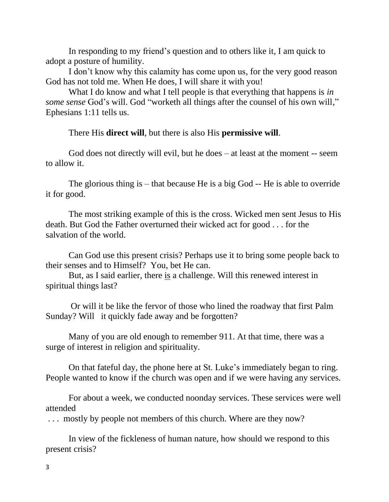In responding to my friend's question and to others like it, I am quick to adopt a posture of humility.

I don't know why this calamity has come upon us, for the very good reason God has not told me. When He does, I will share it with you!

What I do know and what I tell people is that everything that happens is *in some sense* God's will. God "worketh all things after the counsel of his own will," Ephesians 1:11 tells us.

There His **direct will**, but there is also His **permissive will**.

God does not directly will evil, but he does – at least at the moment -- seem to allow it.

The glorious thing is – that because He is a big God -- He is able to override it for good.

The most striking example of this is the cross. Wicked men sent Jesus to His death. But God the Father overturned their wicked act for good . . . for the salvation of the world.

Can God use this present crisis? Perhaps use it to bring some people back to their senses and to Himself? You, bet He can.

But, as I said earlier, there is a challenge. Will this renewed interest in spiritual things last?

Or will it be like the fervor of those who lined the roadway that first Palm Sunday? Will it quickly fade away and be forgotten?

Many of you are old enough to remember 911. At that time, there was a surge of interest in religion and spirituality.

On that fateful day, the phone here at St. Luke's immediately began to ring. People wanted to know if the church was open and if we were having any services.

For about a week, we conducted noonday services. These services were well attended

. . . mostly by people not members of this church. Where are they now?

In view of the fickleness of human nature, how should we respond to this present crisis?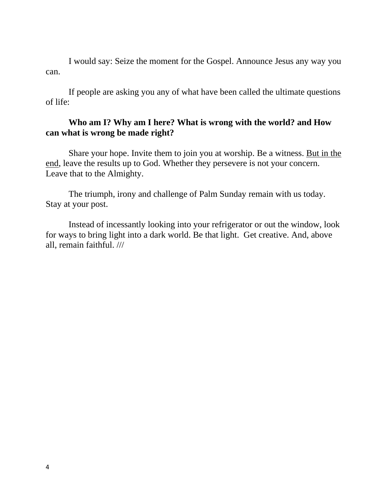I would say: Seize the moment for the Gospel. Announce Jesus any way you can.

If people are asking you any of what have been called the ultimate questions of life:

## **Who am I? Why am I here? What is wrong with the world? and How can what is wrong be made right?**

Share your hope. Invite them to join you at worship. Be a witness. But in the end, leave the results up to God. Whether they persevere is not your concern. Leave that to the Almighty.

The triumph, irony and challenge of Palm Sunday remain with us today. Stay at your post.

Instead of incessantly looking into your refrigerator or out the window, look for ways to bring light into a dark world. Be that light. Get creative. And, above all, remain faithful. ///